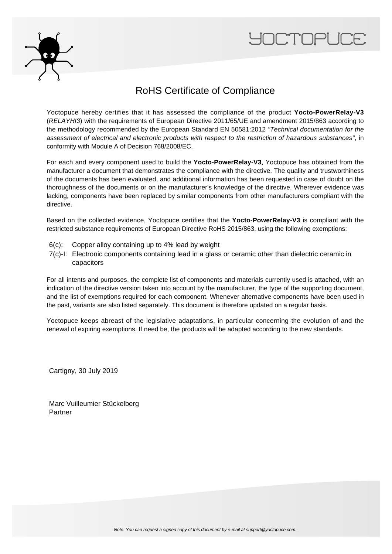



## RoHS Certificate of Compliance

Yoctopuce hereby certifies that it has assessed the compliance of the product **Yocto-PowerRelay-V3** (RELAYHI3) with the requirements of European Directive 2011/65/UE and amendment 2015/863 according to the methodology recommended by the European Standard EN 50581:2012 "Technical documentation for the assessment of electrical and electronic products with respect to the restriction of hazardous substances", in conformity with Module A of Decision 768/2008/EC.

For each and every component used to build the **Yocto-PowerRelay-V3**, Yoctopuce has obtained from the manufacturer a document that demonstrates the compliance with the directive. The quality and trustworthiness of the documents has been evaluated, and additional information has been requested in case of doubt on the thoroughness of the documents or on the manufacturer's knowledge of the directive. Wherever evidence was lacking, components have been replaced by similar components from other manufacturers compliant with the directive.

Based on the collected evidence, Yoctopuce certifies that the **Yocto-PowerRelay-V3** is compliant with the restricted substance requirements of European Directive RoHS 2015/863, using the following exemptions:

- 6(c): Copper alloy containing up to 4% lead by weight
- 7(c)-I: Electronic components containing lead in a glass or ceramic other than dielectric ceramic in capacitors

For all intents and purposes, the complete list of components and materials currently used is attached, with an indication of the directive version taken into account by the manufacturer, the type of the supporting document, and the list of exemptions required for each component. Whenever alternative components have been used in the past, variants are also listed separately. This document is therefore updated on a regular basis.

Yoctopuce keeps abreast of the legislative adaptations, in particular concerning the evolution of and the renewal of expiring exemptions. If need be, the products will be adapted according to the new standards.

Cartigny, 30 July 2019

Marc Vuilleumier Stückelberg Partner